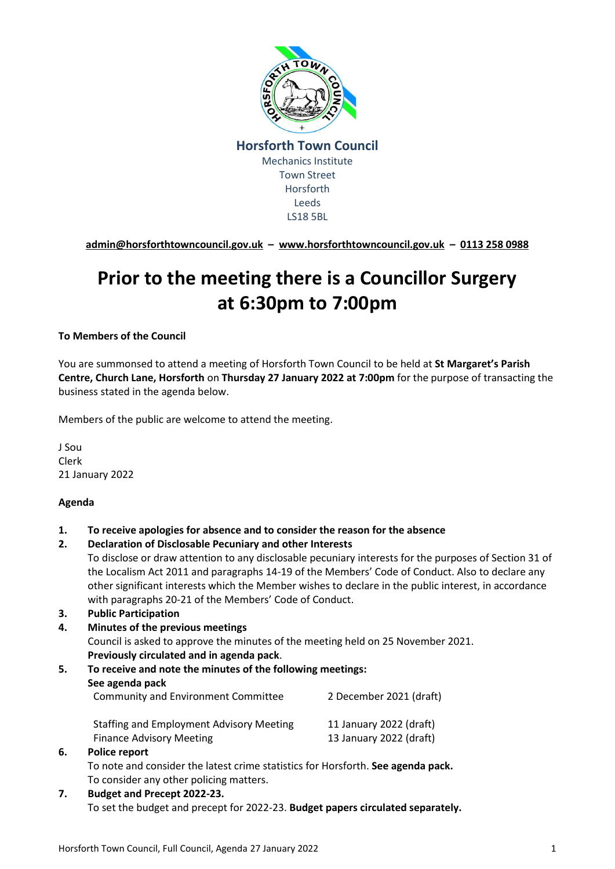

**[admin@horsforthtowncouncil.gov.uk](mailto:admin@horsforthtowncouncil.gov.uk) – [www.horsforthtowncouncil.gov.uk](http://www.horsforthtowncouncil.gov.uk/) – 0113 258 0988**

# **Prior to the meeting there is a Councillor Surgery at 6:30pm to 7:00pm**

#### **To Members of the Council**

You are summonsed to attend a meeting of Horsforth Town Council to be held at **St Margaret's Parish Centre, Church Lane, Horsforth** on **Thursday 27 January 2022 at 7:00pm** for the purpose of transacting the business stated in the agenda below.

Members of the public are welcome to attend the meeting.

J Sou Clerk 21 January 2022

#### **Agenda**

- **1. To receive apologies for absence and to consider the reason for the absence**
- **2. Declaration of Disclosable Pecuniary and other Interests**

To disclose or draw attention to any disclosable pecuniary interests for the purposes of Section 31 of the Localism Act 2011 and paragraphs 14-19 of the Members' Code of Conduct. Also to declare any other significant interests which the Member wishes to declare in the public interest, in accordance with paragraphs 20-21 of the Members' Code of Conduct.

- **3. Public Participation**
- **4. Minutes of the previous meetings** Council is asked to approve the minutes of the meeting held on 25 November 2021. **Previously circulated and in agenda pack**.
- **5. To receive and note the minutes of the following meetings: See agenda pack** Community and Environment Committee 2 December 2021 (draft) Staffing and Employment Advisory Meeting 11 January 2022 (draft) Finance Advisory Meeting 13 January 2022 (draft) **6. Police report**

To note and consider the latest crime statistics for Horsforth. **See agenda pack.** To consider any other policing matters.

**7. Budget and Precept 2022-23.**  To set the budget and precept for 2022-23. **Budget papers circulated separately.**